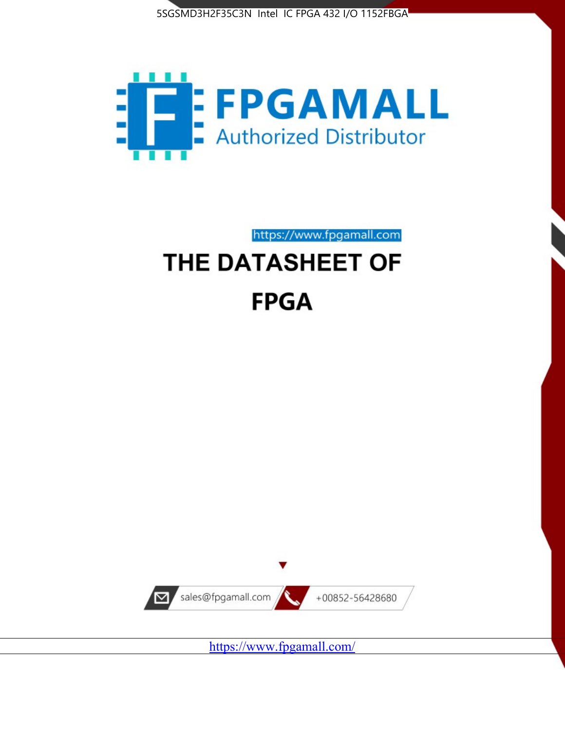



https://www.fpgamall.com

# THE DATASHEET OF **FPGA**



<https://www.fpgamall.com/>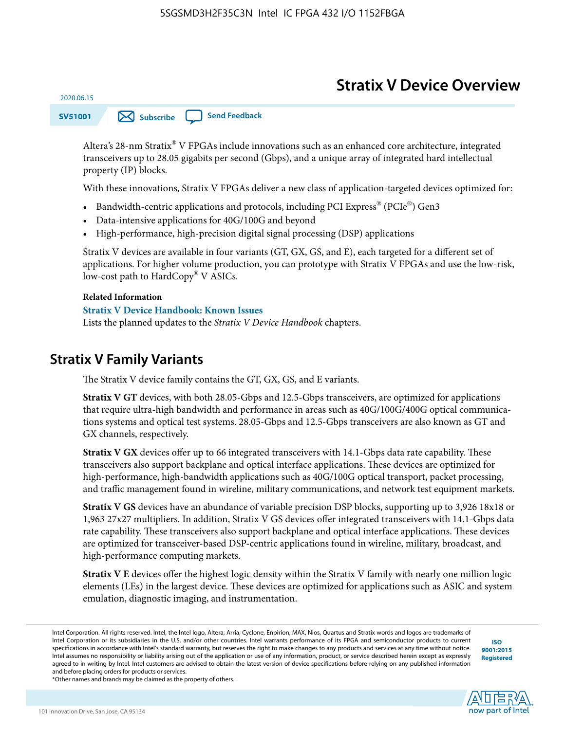# **Stratix V Device Overview**

**SV51001 [Subscribe](https://www.altera.com/servlets/subscriptions/alert?id=SV51001) [Send Feedback](mailto:FPGAtechdocfeedback@intel.com?subject=Feedback%20on%20(SV51001%202020.06.15)%20Stratix%20V%20Device%20Overview&body=We%20appreciate%20your%20feedback.%20In%20your%20comments,%20also%20specify%20the%20page%20number%20or%20paragraph.%20Thank%20you.)** 

Altera's 28-nm Stratix® V FPGAs include innovations such as an enhanced core architecture, integrated transceivers up to 28.05 gigabits per second (Gbps), and a unique array of integrated hard intellectual property (IP) blocks.

With these innovations, Stratix V FPGAs deliver a new class of application-targeted devices optimized for:

- Bandwidth-centric applications and protocols, including PCI Express® (PCIe®) Gen3
- Data-intensive applications for 40G/100G and beyond
- High-performance, high-precision digital signal processing (DSP) applications

Stratix V devices are available in four variants (GT, GX, GS, and E), each targeted for a different set of applications. For higher volume production, you can prototype with Stratix V FPGAs and use the low-risk, low-cost path to HardCopy® V ASICs.

#### **Related Information**

2020.06.15

#### **[Stratix V Device Handbook: Known Issues](http://www.altera.com/support/kdb/solutions/rd08242010_83.html)**

Lists the planned updates to the *Stratix V Device Handbook* chapters.

### **Stratix V Family Variants**

The Stratix V device family contains the GT, GX, GS, and E variants.

**Stratix V GT** devices, with both 28.05-Gbps and 12.5-Gbps transceivers, are optimized for applications that require ultra-high bandwidth and performance in areas such as 40G/100G/400G optical communica‐ tions systems and optical test systems. 28.05-Gbps and 12.5-Gbps transceivers are also known as GT and GX channels, respectively.

**Stratix V GX** devices offer up to 66 integrated transceivers with 14.1-Gbps data rate capability. These transceivers also support backplane and optical interface applications. These devices are optimized for high-performance, high-bandwidth applications such as 40G/100G optical transport, packet processing, and traffic management found in wireline, military communications, and network test equipment markets.

**Stratix V GS** devices have an abundance of variable precision DSP blocks, supporting up to 3,926 18x18 or 1,963 27x27 multipliers. In addition, Stratix V GS devices offer integrated transceivers with 14.1-Gbps data rate capability. These transceivers also support backplane and optical interface applications. These devices are optimized for transceiver-based DSP-centric applications found in wireline, military, broadcast, and high-performance computing markets.

**Stratix V E** devices offer the highest logic density within the Stratix V family with nearly one million logic elements (LEs) in the largest device. These devices are optimized for applications such as ASIC and system emulation, diagnostic imaging, and instrumentation.

**[ISO](http://www.altera.com/support/devices/reliability/certifications/rel-certifications.html) [9001:2015](http://www.altera.com/support/devices/reliability/certifications/rel-certifications.html) [Registered](http://www.altera.com/support/devices/reliability/certifications/rel-certifications.html)**



\*Other names and brands may be claimed as the property of others.

Intel Corporation. All rights reserved. Intel, the Intel logo, Altera, Arria, Cyclone, Enpirion, MAX, Nios, Quartus and Stratix words and logos are trademarks of Intel Corporation or its subsidiaries in the U.S. and/or other countries. Intel warrants performance of its FPGA and semiconductor products to current specifications in accordance with Intel's standard warranty, but reserves the right to make changes to any products and services at any time without notice. Intel assumes no responsibility or liability arising out of the application or use of any information, product, or service described herein except as expressly agreed to in writing by Intel. Intel customers are advised to obtain the latest version of device specifications before relying on any published information and before placing orders for products or services.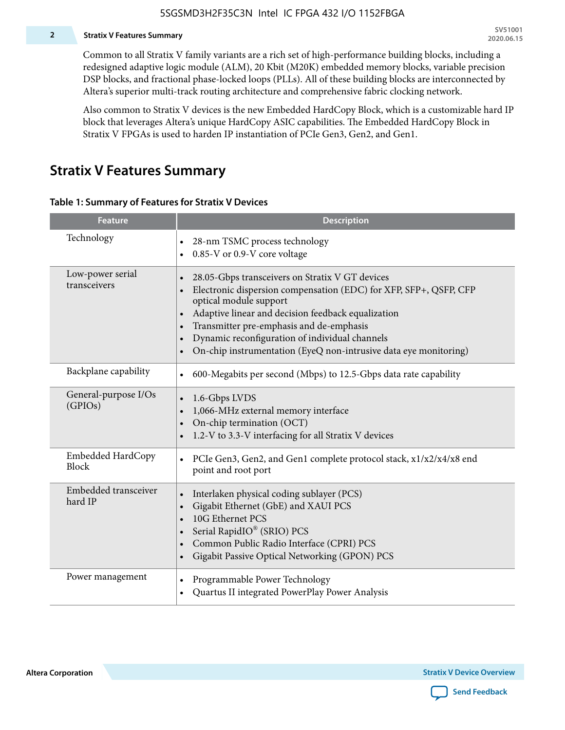#### **2 Stratix V Features Summary**

Common to all Stratix V family variants are a rich set of high-performance building blocks, including a redesigned adaptive logic module (ALM), 20 Kbit (M20K) embedded memory blocks, variable precision DSP blocks, and fractional phase-locked loops (PLLs). All of these building blocks are interconnected by Altera's superior multi-track routing architecture and comprehensive fabric clocking network.

Also common to Stratix V devices is the new Embedded HardCopy Block, which is a customizable hard IP block that leverages Altera's unique HardCopy ASIC capabilities. The Embedded HardCopy Block in Stratix V FPGAs is used to harden IP instantiation of PCIe Gen3, Gen2, and Gen1.

### **Stratix V Features Summary**

#### **Table 1: Summary of Features for Stratix V Devices**

| <b>Feature</b>                    | <b>Description</b>                                                                                                                                                                                                                                                                                                                                                                                                         |
|-----------------------------------|----------------------------------------------------------------------------------------------------------------------------------------------------------------------------------------------------------------------------------------------------------------------------------------------------------------------------------------------------------------------------------------------------------------------------|
| Technology                        | 28-nm TSMC process technology<br>0.85-V or 0.9-V core voltage                                                                                                                                                                                                                                                                                                                                                              |
| Low-power serial<br>transceivers  | 28.05-Gbps transceivers on Stratix V GT devices<br>$\bullet$<br>Electronic dispersion compensation (EDC) for XFP, SFP+, QSFP, CFP<br>optical module support<br>Adaptive linear and decision feedback equalization<br>$\bullet$<br>Transmitter pre-emphasis and de-emphasis<br>Dynamic reconfiguration of individual channels<br>$\bullet$<br>On-chip instrumentation (EyeQ non-intrusive data eye monitoring)<br>$\bullet$ |
| Backplane capability              | 600-Megabits per second (Mbps) to 12.5-Gbps data rate capability<br>$\bullet$                                                                                                                                                                                                                                                                                                                                              |
| General-purpose I/Os<br>(GPIOs)   | 1.6-Gbps LVDS<br>1,066-MHz external memory interface<br>$\bullet$<br>On-chip termination (OCT)<br>$\bullet$<br>1.2-V to 3.3-V interfacing for all Stratix V devices                                                                                                                                                                                                                                                        |
| Embedded HardCopy<br><b>Block</b> | PCIe Gen3, Gen2, and Gen1 complete protocol stack, x1/x2/x4/x8 end<br>$\bullet$<br>point and root port                                                                                                                                                                                                                                                                                                                     |
| Embedded transceiver<br>hard IP   | Interlaken physical coding sublayer (PCS)<br>$\bullet$<br>Gigabit Ethernet (GbE) and XAUI PCS<br>$\bullet$<br>10G Ethernet PCS<br>Serial RapidIO® (SRIO) PCS<br>$\bullet$<br>Common Public Radio Interface (CPRI) PCS<br>$\bullet$<br>Gigabit Passive Optical Networking (GPON) PCS<br>$\bullet$                                                                                                                           |
| Power management                  | Programmable Power Technology<br>$\bullet$<br>Quartus II integrated PowerPlay Power Analysis<br>$\bullet$                                                                                                                                                                                                                                                                                                                  |

**Altera Corporation** 

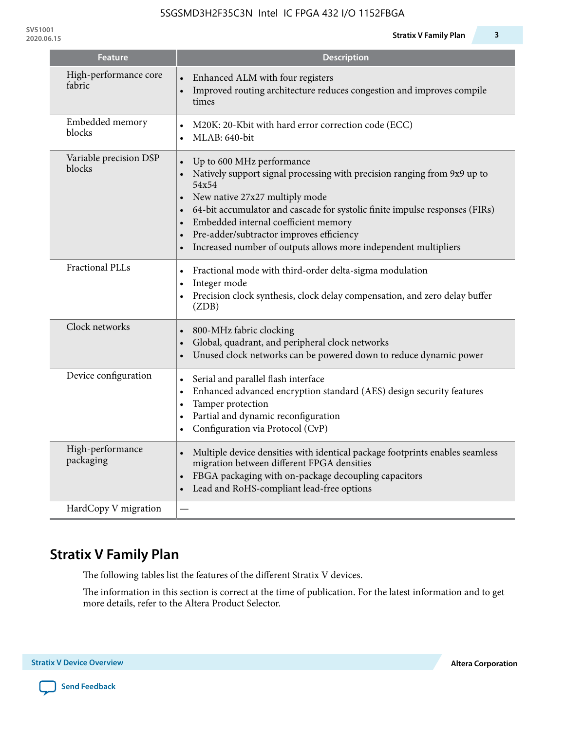**SV51001**

| <b>Feature</b>                   | <b>Description</b>                                                                                                                                                                                                                                                                                                                                                                     |
|----------------------------------|----------------------------------------------------------------------------------------------------------------------------------------------------------------------------------------------------------------------------------------------------------------------------------------------------------------------------------------------------------------------------------------|
| High-performance core<br>fabric  | Enhanced ALM with four registers<br>Improved routing architecture reduces congestion and improves compile<br>times                                                                                                                                                                                                                                                                     |
| Embedded memory<br>blocks        | M20K: 20-Kbit with hard error correction code (ECC)<br>$\bullet$<br>MLAB: 640-bit<br>$\bullet$                                                                                                                                                                                                                                                                                         |
| Variable precision DSP<br>blocks | Up to 600 MHz performance<br>Natively support signal processing with precision ranging from 9x9 up to<br>54x54<br>New native 27x27 multiply mode<br>64-bit accumulator and cascade for systolic finite impulse responses (FIRs)<br>Embedded internal coefficient memory<br>Pre-adder/subtractor improves efficiency<br>Increased number of outputs allows more independent multipliers |
| <b>Fractional PLLs</b>           | Fractional mode with third-order delta-sigma modulation<br>$\bullet$<br>Integer mode<br>$\bullet$<br>Precision clock synthesis, clock delay compensation, and zero delay buffer<br>$\bullet$<br>(ZDB)                                                                                                                                                                                  |
| Clock networks                   | 800-MHz fabric clocking<br>$\bullet$<br>Global, quadrant, and peripheral clock networks<br>Unused clock networks can be powered down to reduce dynamic power                                                                                                                                                                                                                           |
| Device configuration             | Serial and parallel flash interface<br>$\bullet$<br>Enhanced advanced encryption standard (AES) design security features<br>$\bullet$<br>Tamper protection<br>$\bullet$<br>Partial and dynamic reconfiguration<br>$\bullet$<br>Configuration via Protocol (CvP)<br>$\bullet$                                                                                                           |
| High-performance<br>packaging    | Multiple device densities with identical package footprints enables seamless<br>$\bullet$<br>migration between different FPGA densities<br>FBGA packaging with on-package decoupling capacitors<br>Lead and RoHS-compliant lead-free options                                                                                                                                           |
| HardCopy V migration             |                                                                                                                                                                                                                                                                                                                                                                                        |

# **Stratix V Family Plan**

The following tables list the features of the different Stratix V devices.

The information in this section is correct at the time of publication. For the latest information and to get more details, refer to the Altera Product Selector.

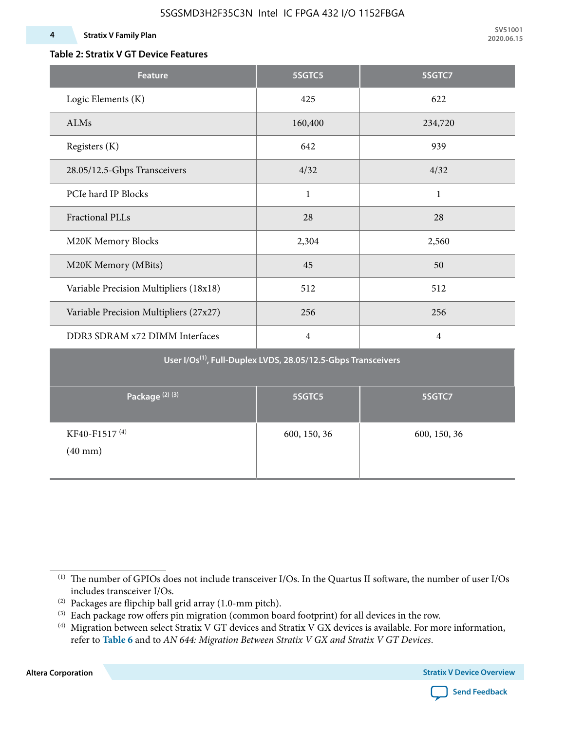### **Table 2: Stratix V GT Device Features**

| <b>Feature</b>                                                            | 5SGTC5         | 5SGTC7         |  |  |  |  |  |  |  |
|---------------------------------------------------------------------------|----------------|----------------|--|--|--|--|--|--|--|
| Logic Elements (K)                                                        | 425            | 622            |  |  |  |  |  |  |  |
| ALMs                                                                      | 160,400        | 234,720        |  |  |  |  |  |  |  |
| Registers (K)                                                             | 642            | 939            |  |  |  |  |  |  |  |
| 28.05/12.5-Gbps Transceivers                                              | 4/32           | 4/32           |  |  |  |  |  |  |  |
| PCIe hard IP Blocks                                                       | $\mathbf{1}$   | $\mathbf{1}$   |  |  |  |  |  |  |  |
| <b>Fractional PLLs</b>                                                    | 28             | 28             |  |  |  |  |  |  |  |
| M20K Memory Blocks                                                        | 2,304          | 2,560          |  |  |  |  |  |  |  |
| M20K Memory (MBits)                                                       | 45             | 50             |  |  |  |  |  |  |  |
| Variable Precision Multipliers (18x18)                                    | 512            | 512            |  |  |  |  |  |  |  |
| Variable Precision Multipliers (27x27)                                    | 256            | 256            |  |  |  |  |  |  |  |
| DDR3 SDRAM x72 DIMM Interfaces                                            | $\overline{4}$ | $\overline{4}$ |  |  |  |  |  |  |  |
| User I/Os <sup>(1)</sup> , Full-Duplex LVDS, 28.05/12.5-Gbps Transceivers |                |                |  |  |  |  |  |  |  |
| Package <sup>(2)(3)</sup>                                                 | 5SGTC5         | 5SGTC7         |  |  |  |  |  |  |  |
| KF40-F1517 <sup>(4)</sup><br>$(40$ mm $)$                                 | 600, 150, 36   | 600, 150, 36   |  |  |  |  |  |  |  |

**Altera Corporation** 



<sup>(1)</sup> The number of GPIOs does not include transceiver I/Os. In the Quartus II software, the number of user I/Os includes transceiver I/Os.

 $^{(2)}$  Packages are flipchip ball grid array (1.0-mm pitch).

<sup>(3)</sup> Each package row offers pin migration (common board footprint) for all devices in the row.

<sup>(4)</sup> Migration between select Stratix V GT devices and Stratix V GX devices is available. For more information, refer to **Table 6** and to *AN 644: Migration Between Stratix V GX and Stratix V GT Devices*.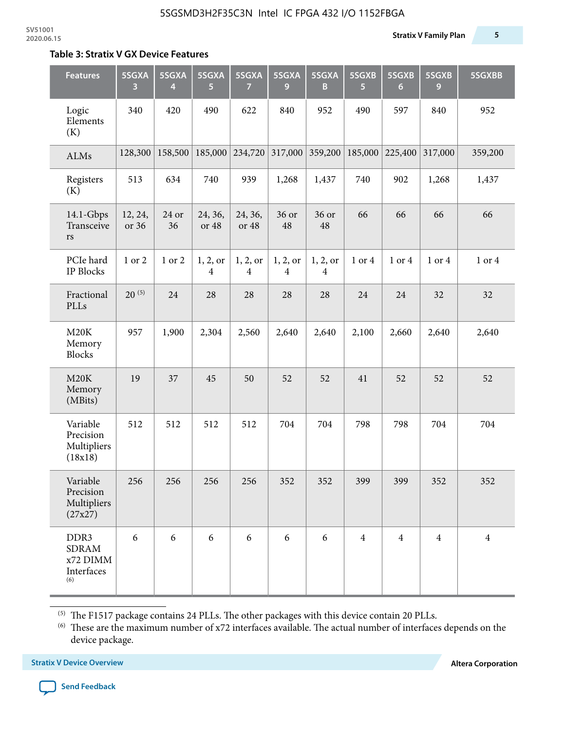#### **Table 3: Stratix V GX Device Features**

| <b>Features</b>                                                   | 5SGXA<br>3       | 5SGXA<br>4  | 5SGXA<br>5                 | 5SGXA<br>7                 | 5SGXA<br>9                 | 5SGXA<br>B                 | 5SGXB<br>5     | 5SGXB<br>$6\phantom{1}$ | 5SGXB<br>9     | 5SGXBB         |
|-------------------------------------------------------------------|------------------|-------------|----------------------------|----------------------------|----------------------------|----------------------------|----------------|-------------------------|----------------|----------------|
| Logic<br>Elements<br>(K)                                          | 340              | 420         | 490                        | 622                        | 840                        | 952                        | 490            | 597                     | 840            | 952            |
| ALMs                                                              | 128,300          | 158,500     | 185,000                    | 234,720                    | 317,000                    | 359,200                    | 185,000        | 225,400                 | 317,000        | 359,200        |
| Registers<br>(K)                                                  | 513              | 634         | 740                        | 939                        | 1,268                      | 1,437                      | 740            | 902                     | 1,268          | 1,437          |
| $14.1$ -Gbps<br>Transceive<br>rs                                  | 12, 24,<br>or 36 | 24 or<br>36 | 24, 36,<br>or 48           | 24, 36,<br>or 48           | 36 or<br>48                | 36 or<br>48                | 66             | 66                      | 66             | 66             |
| PCIe hard<br><b>IP Blocks</b>                                     | 1 or 2           | 1 or 2      | 1, 2, 0r<br>$\overline{4}$ | 1, 2, or<br>$\overline{4}$ | 1, 2, or<br>$\overline{4}$ | 1, 2, or<br>$\overline{4}$ | 1 or 4         | 1 or 4                  | 1 or 4         | 1 or 4         |
| Fractional<br>PLLs                                                | $20^{(5)}$       | 24          | 28                         | 28                         | 28                         | 28                         | 24             | 24                      | 32             | 32             |
| M20K<br>Memory<br><b>Blocks</b>                                   | 957              | 1,900       | 2,304                      | 2,560                      | 2,640                      | 2,640                      | 2,100          | 2,660                   | 2,640          | 2,640          |
| M20K<br>Memory<br>(MBits)                                         | 19               | 37          | 45                         | 50                         | 52                         | 52                         | 41             | 52                      | 52             | 52             |
| Variable<br>Precision<br>Multipliers<br>(18x18)                   | 512              | 512         | 512                        | 512                        | 704                        | 704                        | 798            | 798                     | 704            | 704            |
| Variable<br>Precision<br>Multipliers<br>(27x27)                   | 256              | 256         | 256                        | 256                        | 352                        | 352                        | 399            | 399                     | 352            | 352            |
| DDR <sub>3</sub><br><b>SDRAM</b><br>x72 DIMM<br>Interfaces<br>(6) | 6                | 6           | 6                          | 6                          | 6                          | 6                          | $\overline{4}$ | $\overline{4}$          | $\overline{4}$ | $\overline{4}$ |

 $^{\left(5\right)}$  The F1517 package contains 24 PLLs. The other packages with this device contain 20 PLLs.

(6) These are the maximum number of x72 interfaces available. The actual number of interfaces depends on the device package.

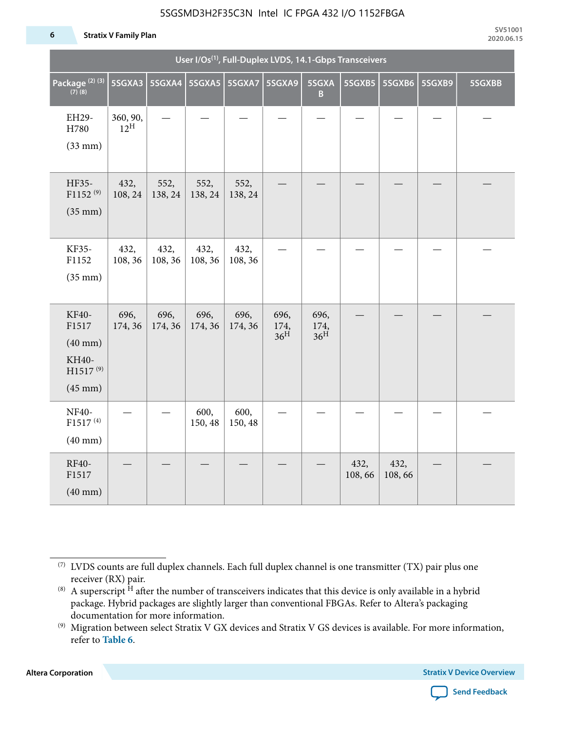#### **6 Stratix V Family Plan**

|                                                                                      | User I/Os <sup>(1)</sup> , Full-Duplex LVDS, 14.1-Gbps Transceivers |                 |                 |                 |                                 |                                 |                |                |        |        |  |
|--------------------------------------------------------------------------------------|---------------------------------------------------------------------|-----------------|-----------------|-----------------|---------------------------------|---------------------------------|----------------|----------------|--------|--------|--|
| Package <sup>(2)(3)</sup><br>$(7)$ (8)                                               | 5SGXA3                                                              |                 |                 |                 | 5SGXA9                          | 5SGXA<br>B.                     | 5SGXB5         | 5SGXB6         | 5SGXB9 | 5SGXBB |  |
| EH29-<br>H780<br>$(33$ mm $)$                                                        | 360, 90,<br>$12^{\text{H}}$                                         |                 |                 |                 |                                 |                                 |                |                |        |        |  |
| HF35-<br>$F1152^{(9)}$<br>$(35$ mm $)$                                               | 432,<br>108, 24                                                     | 552,<br>138, 24 | 552,<br>138, 24 | 552,<br>138, 24 |                                 |                                 |                |                |        |        |  |
| KF35-<br>F1152<br>$(35$ mm $)$                                                       | 432,<br>108, 36                                                     | 432,<br>108, 36 | 432,<br>108, 36 | 432,<br>108, 36 |                                 |                                 |                |                |        |        |  |
| KF40-<br>F1517<br>$(40$ mm $)$<br>KH40-<br>H1517 <sup>(9)</sup><br>$(45 \text{ mm})$ | 696,<br>174, 36                                                     | 696,<br>174, 36 | 696,<br>174, 36 | 696,<br>174, 36 | 696,<br>174,<br>36 <sup>H</sup> | 696,<br>174,<br>36 <sup>H</sup> |                |                |        |        |  |
| NF40-<br>F1517 <sup>(4)</sup><br>$(40$ mm $)$                                        |                                                                     |                 | 600,<br>150, 48 | 600,<br>150, 48 |                                 |                                 |                |                |        |        |  |
| RF40-<br>F1517<br>$(40$ mm $)$                                                       |                                                                     |                 |                 |                 |                                 |                                 | 432,<br>108,66 | 432,<br>108,66 |        |        |  |

**Altera Corporation** 



<sup>(7)</sup> LVDS counts are full duplex channels. Each full duplex channel is one transmitter (TX) pair plus one receiver (RX) pair.

<sup>(8)</sup> A superscript  $H$  after the number of transceivers indicates that this device is only available in a hybrid package. Hybrid packages are slightly larger than conventional FBGAs. Refer to Altera's packaging documentation for more information.

<sup>(9)</sup> Migration between select Stratix V GX devices and Stratix V GS devices is available. For more information, refer to **Table 6**.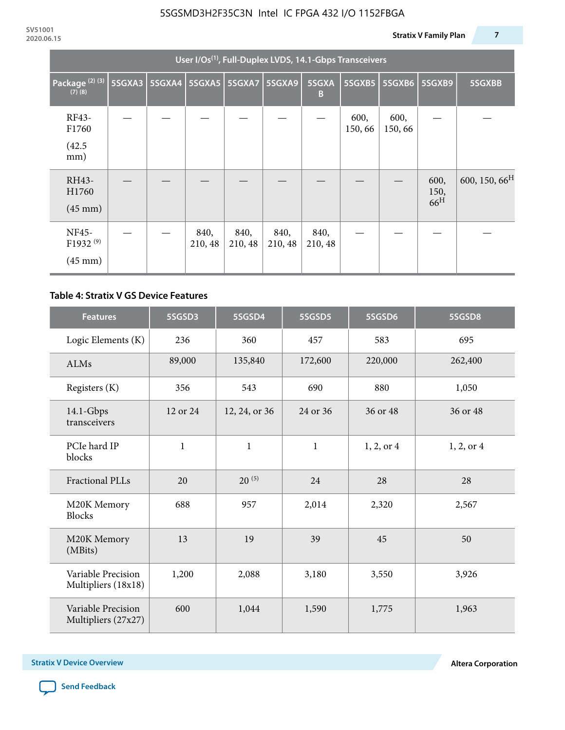|                                                           | User I/Os <sup>(1)</sup> , Full-Duplex LVDS, 14.1-Gbps Transceivers |  |                          |                 |                 |                 |                 |                |                                 |                           |  |  |
|-----------------------------------------------------------|---------------------------------------------------------------------|--|--------------------------|-----------------|-----------------|-----------------|-----------------|----------------|---------------------------------|---------------------------|--|--|
| Package <sup>(2)(3)</sup><br>$(7)$ $(8)$                  | 5SGXA3                                                              |  | 5SGXA4   5SGXA5   5SGXA7 |                 | 5SGXA9          | 5SGXA<br>B      | 5SGXB5          | 5SGXB6         | 5SGXB9                          | 5SGXBB                    |  |  |
| RF43-<br>F1760<br>(42.5)<br>mm)                           |                                                                     |  |                          |                 |                 |                 | 600,<br>150, 66 | 600,<br>150,66 |                                 |                           |  |  |
| RH43-<br>H1760<br>$(45 \text{ mm})$                       |                                                                     |  |                          |                 |                 |                 |                 |                | 600,<br>150,<br>66 <sup>H</sup> | 600, 150, 66 <sup>H</sup> |  |  |
| <b>NF45-</b><br>F1932 <sup>(9)</sup><br>$(45 \text{ mm})$ |                                                                     |  | 840,<br>210, 48          | 840,<br>210, 48 | 840,<br>210, 48 | 840,<br>210, 48 |                 |                |                                 |                           |  |  |

### **Table 4: Stratix V GS Device Features**

| <b>Features</b>                           | 5SGSD3       | 5SGSD4        | 5SGSD5       | 5SGSD6     | 5SGSD8         |
|-------------------------------------------|--------------|---------------|--------------|------------|----------------|
| Logic Elements (K)                        | 236          | 360           | 457          | 583        | 695            |
| ALMs                                      | 89,000       | 135,840       | 172,600      | 220,000    | 262,400        |
| Registers (K)                             | 356          | 543           | 690          | 880        | 1,050          |
| $14.1$ -Gbps<br>transceivers              | 12 or 24     | 12, 24, or 36 | 24 or 36     | 36 or 48   | 36 or 48       |
| PCIe hard IP<br>blocks                    | $\mathbf{1}$ | $\mathbf{1}$  | $\mathbf{1}$ | 1, 2, or 4 | $1, 2,$ or $4$ |
| <b>Fractional PLLs</b>                    | 20           | $20^{(5)}$    | 24           | 28         | 28             |
| M20K Memory<br><b>Blocks</b>              | 688          | 957           | 2,014        | 2,320      | 2,567          |
| M20K Memory<br>(MBits)                    | 13           | 19            | 39           | 45         | 50             |
| Variable Precision<br>Multipliers (18x18) | 1,200        | 2,088         | 3,180        | 3,550      | 3,926          |
| Variable Precision<br>Multipliers (27x27) | 600          | 1,044         | 1,590        | 1,775      | 1,963          |

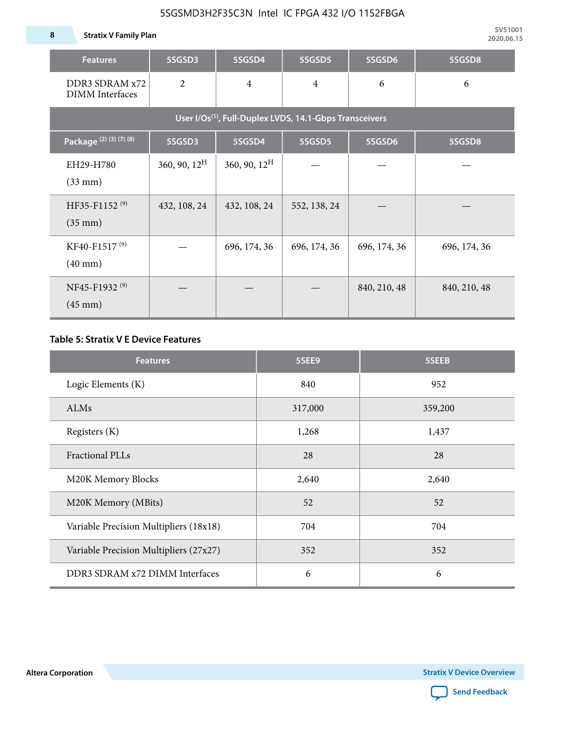**8 Stratix V Family Plan**

| <b>Features</b>                                                     | 5SGSD3                   | 5SGSD4          | 5SGSD5         | 5SGSD6       | 5SGSD8       |  |  |  |  |  |  |
|---------------------------------------------------------------------|--------------------------|-----------------|----------------|--------------|--------------|--|--|--|--|--|--|
| DDR3 SDRAM x72<br><b>DIMM</b> Interfaces                            | $\overline{2}$           | $\overline{4}$  | $\overline{4}$ | 6            | 6            |  |  |  |  |  |  |
| User I/Os <sup>(1)</sup> , Full-Duplex LVDS, 14.1-Gbps Transceivers |                          |                 |                |              |              |  |  |  |  |  |  |
| Package (2) (3) (7) (8)                                             | 5SGSD3                   | 5SGSD4          | 5SGSD5         | 5SGSD6       | 5SGSD8       |  |  |  |  |  |  |
| EH29-H780<br>$(33$ mm $)$                                           | $360, 90, 12^{\text{H}}$ | 360, 90, $12^H$ |                |              |              |  |  |  |  |  |  |
| HF35-F1152 <sup>(9)</sup><br>$(35 \text{ mm})$                      | 432, 108, 24             | 432, 108, 24    | 552, 138, 24   |              |              |  |  |  |  |  |  |
| KF40-F1517 <sup>(9)</sup><br>$(40 \text{ mm})$                      |                          | 696, 174, 36    | 696, 174, 36   | 696, 174, 36 | 696, 174, 36 |  |  |  |  |  |  |
| NF45-F1932 <sup>(9)</sup><br>$(45 \text{ mm})$                      |                          |                 |                | 840, 210, 48 | 840, 210, 48 |  |  |  |  |  |  |

### **Table 5: Stratix V E Device Features**

| <b>Features</b>                        | 5SEE9   | 5SEEB   |
|----------------------------------------|---------|---------|
| Logic Elements (K)                     | 840     | 952     |
| ALMs                                   | 317,000 | 359,200 |
| Registers (K)                          | 1,268   | 1,437   |
| <b>Fractional PLLs</b>                 | 28      | 28      |
| M20K Memory Blocks                     | 2,640   | 2,640   |
| M20K Memory (MBits)                    | 52      | 52      |
| Variable Precision Multipliers (18x18) | 704     | 704     |
| Variable Precision Multipliers (27x27) | 352     | 352     |
| DDR3 SDRAM x72 DIMM Interfaces         | 6       | 6       |

**Altera Corporation** 

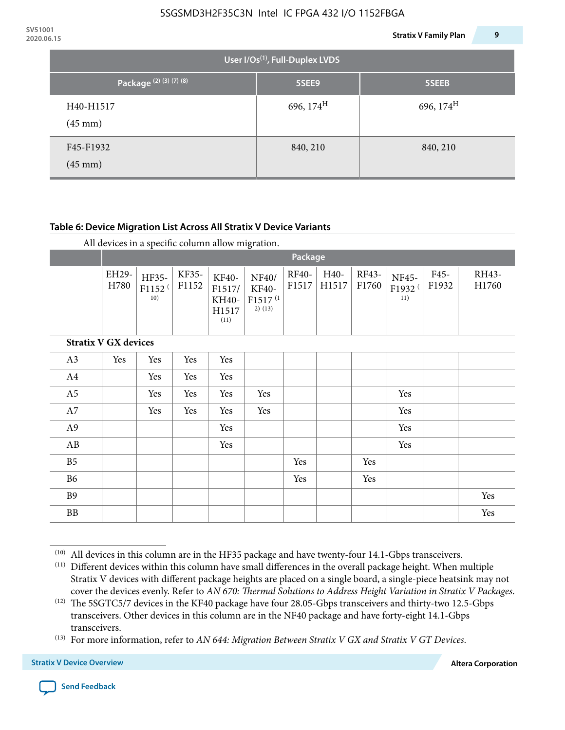| <b>JVJIUUI</b><br>2020.06.15 |                                                                     |                                             | <b>Stratix V Family Plan</b> | 9 |
|------------------------------|---------------------------------------------------------------------|---------------------------------------------|------------------------------|---|
|                              |                                                                     | User I/Os <sup>(1)</sup> , Full-Duplex LVDS |                              |   |
|                              | Package <sup>(2)</sup> <sup>(3)</sup> <sup>(7)</sup> <sup>(8)</sup> | 5SEE9                                       | 5SEEB                        |   |
|                              | H40-H1517<br>$(45 \text{ mm})$                                      | 696, $174^H$                                | 696, $174^H$                 |   |
|                              | F45-F1932<br>$(45 \text{ mm})$                                      | 840, 210                                    | 840, 210                     |   |

### **Table 6: Device Migration List Across All Stratix V Device Variants**

|                             |               | Package                            |                |                                           |                                                           |                |               |                |                                    |               |                |
|-----------------------------|---------------|------------------------------------|----------------|-------------------------------------------|-----------------------------------------------------------|----------------|---------------|----------------|------------------------------------|---------------|----------------|
|                             | EH29-<br>H780 | HF35-<br>F1152 <sup>(</sup><br>10) | KF35-<br>F1152 | KF40-<br>F1517/<br>KH40-<br>H1517<br>(11) | NF40/<br><b>KF40-</b><br>F1517 <sup>(1</sup><br>$2)$ (13) | RF40-<br>F1517 | H40-<br>H1517 | RF43-<br>F1760 | NF45-<br>F1932 <sup>(</sup><br>11) | F45-<br>F1932 | RH43-<br>H1760 |
| <b>Stratix V GX devices</b> |               |                                    |                |                                           |                                                           |                |               |                |                                    |               |                |
| A3                          | Yes           | Yes                                | Yes            | Yes                                       |                                                           |                |               |                |                                    |               |                |
| A4                          |               | Yes                                | Yes            | Yes                                       |                                                           |                |               |                |                                    |               |                |
| A <sub>5</sub>              |               | Yes                                | Yes            | Yes                                       | Yes                                                       |                |               |                | Yes                                |               |                |
| A7                          |               | Yes                                | Yes            | Yes                                       | Yes                                                       |                |               |                | Yes                                |               |                |
| A <sub>9</sub>              |               |                                    |                | Yes                                       |                                                           |                |               |                | Yes                                |               |                |
| AB                          |               |                                    |                | Yes                                       |                                                           |                |               |                | Yes                                |               |                |
| B <sub>5</sub>              |               |                                    |                |                                           |                                                           | Yes            |               | Yes            |                                    |               |                |
| B <sub>6</sub>              |               |                                    |                |                                           |                                                           | Yes            |               | Yes            |                                    |               |                |
| <b>B9</b>                   |               |                                    |                |                                           |                                                           |                |               |                |                                    |               | Yes            |
| <b>BB</b>                   |               |                                    |                |                                           |                                                           |                |               |                |                                    |               | Yes            |

 $(10)$  All devices in this column are in the HF35 package and have twenty-four 14.1-Gbps transceivers.



<sup>(11)</sup> Different devices within this column have small differences in the overall package height. When multiple Stratix V devices with different package heights are placed on a single board, a single-piece heatsink may not cover the devices evenly. Refer to *AN 670: Thermal Solutions to Address Height Variation in Stratix V Packages*.

<sup>(12)</sup> The 5SGTC5/7 devices in the KF40 package have four 28.05-Gbps transceivers and thirty-two 12.5-Gbps transceivers. Other devices in this column are in the NF40 package and have forty-eight 14.1-Gbps transceivers.

<sup>(13)</sup> For more information, refer to *AN 644: Migration Between Stratix V GX and Stratix V GT Devices*.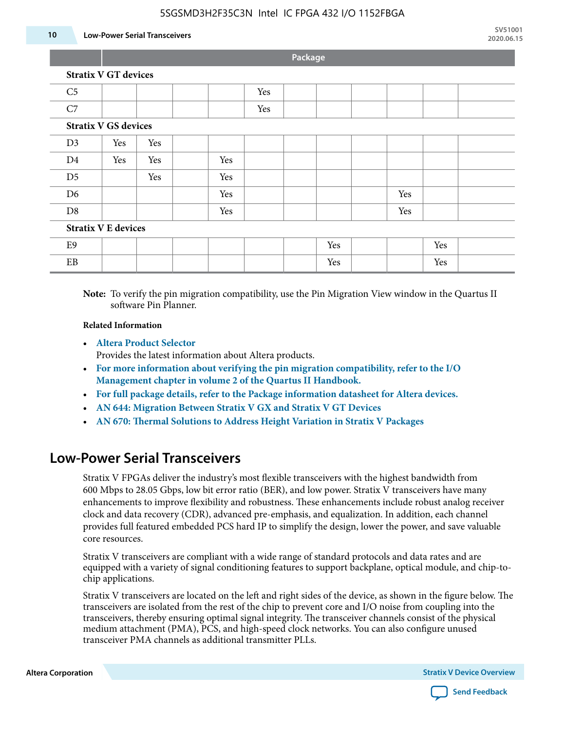#### **10 Low-Power Serial Transceivers**

**Package**

| C <sub>5</sub>             |                             |     |  |     | Yes |  |     |     |     |  |
|----------------------------|-----------------------------|-----|--|-----|-----|--|-----|-----|-----|--|
| C7                         |                             |     |  |     | Yes |  |     |     |     |  |
|                            | <b>Stratix V GS devices</b> |     |  |     |     |  |     |     |     |  |
| D3                         | Yes                         | Yes |  |     |     |  |     |     |     |  |
| D <sub>4</sub>             | Yes                         | Yes |  | Yes |     |  |     |     |     |  |
| D <sub>5</sub>             |                             | Yes |  | Yes |     |  |     |     |     |  |
| D <sub>6</sub>             |                             |     |  | Yes |     |  |     | Yes |     |  |
| D <sub>8</sub>             |                             |     |  | Yes |     |  |     | Yes |     |  |
| <b>Stratix V E devices</b> |                             |     |  |     |     |  |     |     |     |  |
| E <sub>9</sub>             |                             |     |  |     |     |  | Yes |     | Yes |  |
| EB                         |                             |     |  |     |     |  | Yes |     | Yes |  |

**Note:** To verify the pin migration compatibility, use the Pin Migration View window in the Quartus II software Pin Planner.

#### **Related Information**

• **[Altera Product Selector](http://www.altera.com/products/selector/psg-selector.html#)**

Provides the latest information about Altera products.

- **[For more information about verifying the pin migration compatibility, refer to the I/O](http://www.altera.com/literature/hb/qts/qts_qii52013.pdf) [Management chapter in volume 2 of the Quartus II Handbook.](http://www.altera.com/literature/hb/qts/qts_qii52013.pdf)**
- **[For full package details, refer to the Package information datasheet for Altera devices.](http://www.altera.com/support/devices/packaging/specifications/pkg-pin/spe-index.jsp)**
- **[AN 644: Migration Between Stratix V GX and Stratix V GT Devices](http://www.altera.com/literature/an/an644.pdf)**
- **[AN 670: Thermal Solutions to Address Height Variation in Stratix V Packages](http://www.altera.com/literature/an/an670.pdf)**

### **Low-Power Serial Transceivers**

Stratix V FPGAs deliver the industry's most flexible transceivers with the highest bandwidth from 600 Mbps to 28.05 Gbps, low bit error ratio (BER), and low power. Stratix V transceivers have many enhancements to improve flexibility and robustness. These enhancements include robust analog receiver clock and data recovery (CDR), advanced pre-emphasis, and equalization. In addition, each channel provides full featured embedded PCS hard IP to simplify the design, lower the power, and save valuable core resources.

Stratix V transceivers are compliant with a wide range of standard protocols and data rates and are equipped with a variety of signal conditioning features to support backplane, optical module, and chip-tochip applications.

Stratix V transceivers are located on the left and right sides of the device, as shown in the figure below. The transceivers are isolated from the rest of the chip to prevent core and I/O noise from coupling into the transceivers, thereby ensuring optimal signal integrity. The transceiver channels consist of the physical medium attachment (PMA), PCS, and high-speed clock networks. You can also configure unused transceiver PMA channels as additional transmitter PLLs.

**Altera Corporation Stratix V Device Overview**

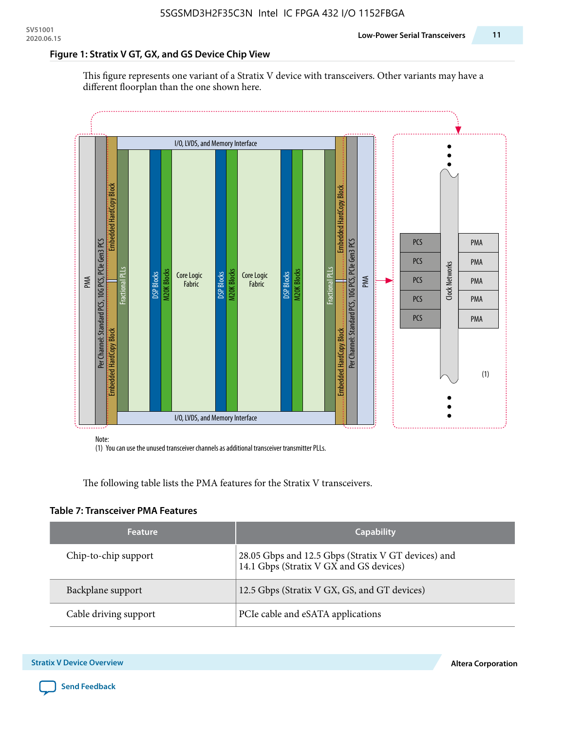#### **Figure 1: Stratix V GT, GX, and GS Device Chip View**

This figure represents one variant of a Stratix V device with transceivers. Other variants may have a different floorplan than the one shown here.



(1) You can use the unused transceiver channels as additional transceiver transmitter PLLs.

The following table lists the PMA features for the Stratix V transceivers.

#### **Table 7: Transceiver PMA Features**

| <b>Feature</b>        | <b>Capability</b>                                                                              |
|-----------------------|------------------------------------------------------------------------------------------------|
| Chip-to-chip support  | 28.05 Gbps and 12.5 Gbps (Stratix V GT devices) and<br>14.1 Gbps (Stratix V GX and GS devices) |
| Backplane support     | 12.5 Gbps (Stratix V GX, GS, and GT devices)                                                   |
| Cable driving support | PCIe cable and eSATA applications                                                              |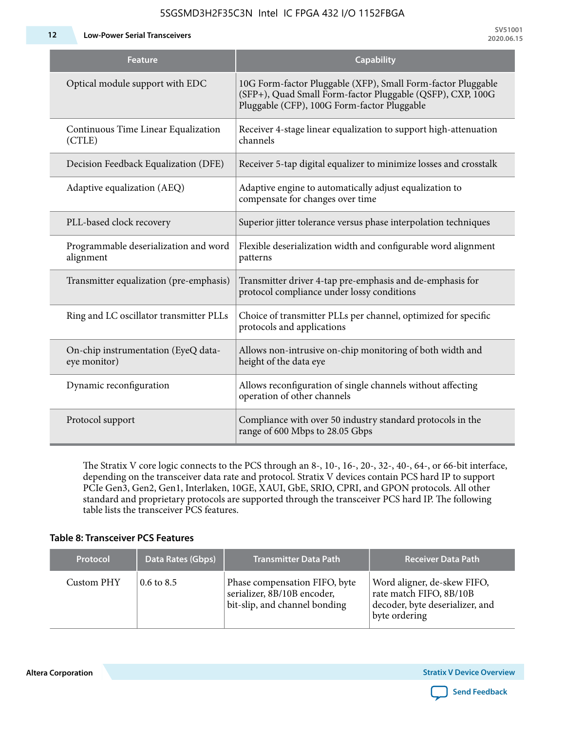**12 Low-Power Serial Transceivers**

| Feature                                             | <b>Capability</b>                                                                                                                                                         |
|-----------------------------------------------------|---------------------------------------------------------------------------------------------------------------------------------------------------------------------------|
| Optical module support with EDC                     | 10G Form-factor Pluggable (XFP), Small Form-factor Pluggable<br>(SFP+), Quad Small Form-factor Pluggable (QSFP), CXP, 100G<br>Pluggable (CFP), 100G Form-factor Pluggable |
| Continuous Time Linear Equalization<br>(CTLE)       | Receiver 4-stage linear equalization to support high-attenuation<br>channels                                                                                              |
| Decision Feedback Equalization (DFE)                | Receiver 5-tap digital equalizer to minimize losses and crosstalk                                                                                                         |
| Adaptive equalization (AEQ)                         | Adaptive engine to automatically adjust equalization to<br>compensate for changes over time                                                                               |
| PLL-based clock recovery                            | Superior jitter tolerance versus phase interpolation techniques                                                                                                           |
| Programmable deserialization and word<br>alignment  | Flexible deserialization width and configurable word alignment<br>patterns                                                                                                |
| Transmitter equalization (pre-emphasis)             | Transmitter driver 4-tap pre-emphasis and de-emphasis for<br>protocol compliance under lossy conditions                                                                   |
| Ring and LC oscillator transmitter PLLs             | Choice of transmitter PLLs per channel, optimized for specific<br>protocols and applications                                                                              |
| On-chip instrumentation (EyeQ data-<br>eye monitor) | Allows non-intrusive on-chip monitoring of both width and<br>height of the data eye                                                                                       |
| Dynamic reconfiguration                             | Allows reconfiguration of single channels without affecting<br>operation of other channels                                                                                |
| Protocol support                                    | Compliance with over 50 industry standard protocols in the<br>range of 600 Mbps to 28.05 Gbps                                                                             |

The Stratix V core logic connects to the PCS through an 8-, 10-, 16-, 20-, 32-, 40-, 64-, or 66-bit interface, depending on the transceiver data rate and protocol. Stratix V devices contain PCS hard IP to support PCIe Gen3, Gen2, Gen1, Interlaken, 10GE, XAUI, GbE, SRIO, CPRI, and GPON protocols. All other standard and proprietary protocols are supported through the transceiver PCS hard IP. The following table lists the transceiver PCS features.

#### **Table 8: Transceiver PCS Features**

| <b>Protocol</b> | Data Rates (Gbps)     | <b>Transmitter Data Path</b>                                                                  | <b>Receiver Data Path</b>                                                                                  |
|-----------------|-----------------------|-----------------------------------------------------------------------------------------------|------------------------------------------------------------------------------------------------------------|
| Custom PHY      | $0.6 \text{ to } 8.5$ | Phase compensation FIFO, byte<br>serializer, 8B/10B encoder,<br>bit-slip, and channel bonding | Word aligner, de-skew FIFO,<br>rate match FIFO, 8B/10B<br>decoder, byte deserializer, and<br>byte ordering |

**Altera Corporation** 

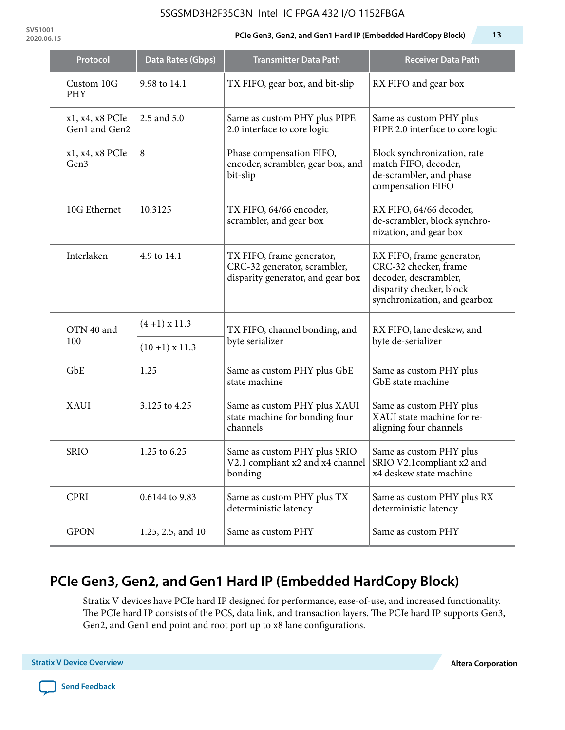**SV51001**

#### **2020.06.15 PCIe Gen3, Gen2, and Gen1 Hard IP (Embedded HardCopy Block) 13**

| Protocol                         | Data Rates (Gbps) | <b>Transmitter Data Path</b>                                                                   | <b>Receiver Data Path</b>                                                                                                               |  |  |
|----------------------------------|-------------------|------------------------------------------------------------------------------------------------|-----------------------------------------------------------------------------------------------------------------------------------------|--|--|
| Custom 10G<br>PHY                | 9.98 to 14.1      | TX FIFO, gear box, and bit-slip                                                                | RX FIFO and gear box                                                                                                                    |  |  |
| x1, x4, x8 PCIe<br>Gen1 and Gen2 | 2.5 and 5.0       | Same as custom PHY plus PIPE<br>2.0 interface to core logic                                    | Same as custom PHY plus<br>PIPE 2.0 interface to core logic                                                                             |  |  |
| x1, x4, x8 PCIe<br>Gen3          | 8                 | Phase compensation FIFO,<br>encoder, scrambler, gear box, and<br>bit-slip                      | Block synchronization, rate<br>match FIFO, decoder,<br>de-scrambler, and phase<br>compensation FIFO                                     |  |  |
| 10G Ethernet                     | 10.3125           | TX FIFO, 64/66 encoder,<br>scrambler, and gear box                                             | RX FIFO, 64/66 decoder,<br>de-scrambler, block synchro-<br>nization, and gear box                                                       |  |  |
| Interlaken                       | 4.9 to 14.1       | TX FIFO, frame generator,<br>CRC-32 generator, scrambler,<br>disparity generator, and gear box | RX FIFO, frame generator,<br>CRC-32 checker, frame<br>decoder, descrambler,<br>disparity checker, block<br>synchronization, and gearbox |  |  |
| OTN 40 and                       | $(4+1)$ x 11.3    | TX FIFO, channel bonding, and                                                                  | RX FIFO, lane deskew, and                                                                                                               |  |  |
| 100                              | $(10+1)$ x 11.3   | byte serializer                                                                                | byte de-serializer                                                                                                                      |  |  |
| GbE                              | 1.25              | Same as custom PHY plus GbE<br>state machine                                                   | Same as custom PHY plus<br>GbE state machine                                                                                            |  |  |
| XAUI                             | 3.125 to 4.25     | Same as custom PHY plus XAUI<br>state machine for bonding four<br>channels                     | Same as custom PHY plus<br>XAUI state machine for re-<br>aligning four channels                                                         |  |  |
| <b>SRIO</b>                      | 1.25 to 6.25      | Same as custom PHY plus SRIO<br>V2.1 compliant x2 and x4 channel<br>bonding                    | Same as custom PHY plus<br>SRIO V2.1 compliant x2 and<br>x4 deskew state machine                                                        |  |  |
| <b>CPRI</b>                      | 0.6144 to 9.83    | Same as custom PHY plus TX<br>deterministic latency                                            | Same as custom PHY plus RX<br>deterministic latency                                                                                     |  |  |
| <b>GPON</b>                      | 1.25, 2.5, and 10 | Same as custom PHY                                                                             | Same as custom PHY                                                                                                                      |  |  |

# **PCIe Gen3, Gen2, and Gen1 Hard IP (Embedded HardCopy Block)**

Stratix V devices have PCIe hard IP designed for performance, ease-of-use, and increased functionality. The PCIe hard IP consists of the PCS, data link, and transaction layers. The PCIe hard IP supports Gen3, Gen2, and Gen1 end point and root port up to x8 lane configurations.

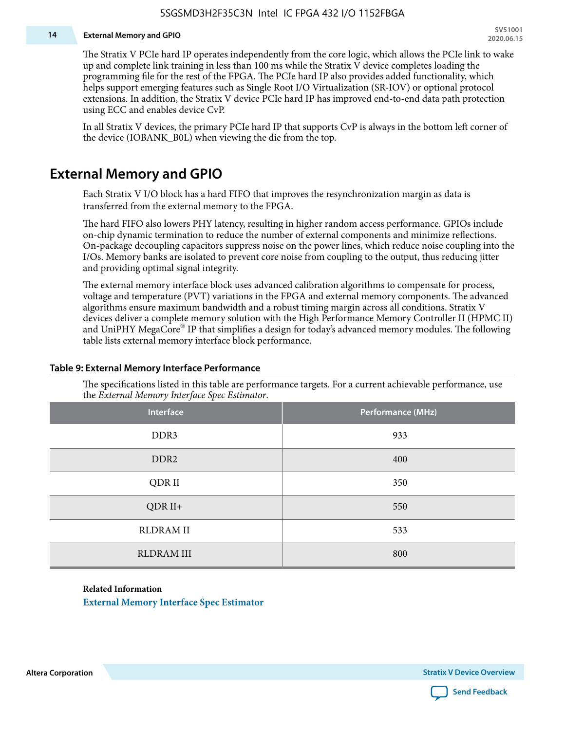#### **14 External Memory and GPIO**

The Stratix V PCIe hard IP operates independently from the core logic, which allows the PCIe link to wake up and complete link training in less than 100 ms while the Stratix V device completes loading the programming file for the rest of the FPGA. The PCIe hard IP also provides added functionality, which helps support emerging features such as Single Root I/O Virtualization (SR-IOV) or optional protocol extensions. In addition, the Stratix V device PCIe hard IP has improved end-to-end data path protection using ECC and enables device CvP.

In all Stratix V devices, the primary PCIe hard IP that supports CvP is always in the bottom left corner of the device (IOBANK\_B0L) when viewing the die from the top.

### **External Memory and GPIO**

Each Stratix V I/O block has a hard FIFO that improves the resynchronization margin as data is transferred from the external memory to the FPGA.

The hard FIFO also lowers PHY latency, resulting in higher random access performance. GPIOs include on-chip dynamic termination to reduce the number of external components and minimize reflections. On-package decoupling capacitors suppress noise on the power lines, which reduce noise coupling into the I/Os. Memory banks are isolated to prevent core noise from coupling to the output, thus reducing jitter and providing optimal signal integrity.

The external memory interface block uses advanced calibration algorithms to compensate for process, voltage and temperature (PVT) variations in the FPGA and external memory components. The advanced algorithms ensure maximum bandwidth and a robust timing margin across all conditions. Stratix V devices deliver a complete memory solution with the High Performance Memory Controller II (HPMC II) and UniPHY MegaCore® IP that simplifies a design for today's advanced memory modules. The following table lists external memory interface block performance.

| Interface         | Performance (MHz) |
|-------------------|-------------------|
| DDR3              | 933               |
| DDR <sub>2</sub>  | 400               |
| QDR II            | 350               |
| $QDR II+$         | 550               |
| <b>RLDRAM II</b>  | 533               |
| <b>RLDRAM III</b> | 800               |

#### **Table 9: External Memory Interface Performance**

The specifications listed in this table are performance targets. For a current achievable performance, use the *External Memory Interface Spec Estimator*.

#### **Related Information**

**[External Memory Interface Spec Estimator](http://www.altera.com/technology/memory/estimator/mem-emif-index.html)**

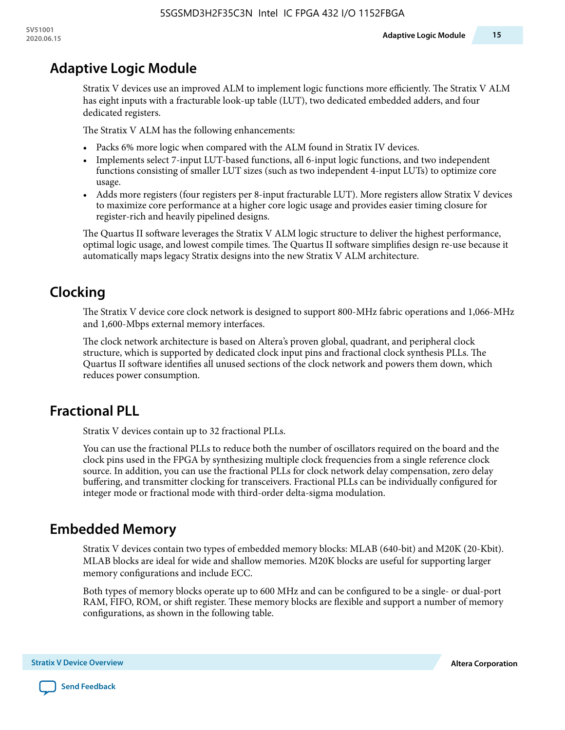# **Adaptive Logic Module**

Stratix V devices use an improved ALM to implement logic functions more efficiently. The Stratix V ALM has eight inputs with a fracturable look-up table (LUT), two dedicated embedded adders, and four dedicated registers.

The Stratix V ALM has the following enhancements:

- Packs 6% more logic when compared with the ALM found in Stratix IV devices.
- Implements select 7-input LUT-based functions, all 6-input logic functions, and two independent functions consisting of smaller LUT sizes (such as two independent 4-input LUTs) to optimize core usage.
- Adds more registers (four registers per 8-input fracturable LUT). More registers allow Stratix V devices to maximize core performance at a higher core logic usage and provides easier timing closure for register-rich and heavily pipelined designs.

The Quartus II software leverages the Stratix V ALM logic structure to deliver the highest performance, optimal logic usage, and lowest compile times. The Quartus II software simplifies design re-use because it automatically maps legacy Stratix designs into the new Stratix V ALM architecture.

# **Clocking**

The Stratix V device core clock network is designed to support 800-MHz fabric operations and 1,066-MHz and 1,600-Mbps external memory interfaces.

The clock network architecture is based on Altera's proven global, quadrant, and peripheral clock structure, which is supported by dedicated clock input pins and fractional clock synthesis PLLs. The Quartus II software identifies all unused sections of the clock network and powers them down, which reduces power consumption.

# **Fractional PLL**

Stratix V devices contain up to 32 fractional PLLs.

You can use the fractional PLLs to reduce both the number of oscillators required on the board and the clock pins used in the FPGA by synthesizing multiple clock frequencies from a single reference clock source. In addition, you can use the fractional PLLs for clock network delay compensation, zero delay buffering, and transmitter clocking for transceivers. Fractional PLLs can be individually configured for integer mode or fractional mode with third-order delta-sigma modulation.

# **Embedded Memory**

Stratix V devices contain two types of embedded memory blocks: MLAB (640-bit) and M20K (20-Kbit). MLAB blocks are ideal for wide and shallow memories. M20K blocks are useful for supporting larger memory configurations and include ECC.

Both types of memory blocks operate up to 600 MHz and can be configured to be a single- or dual-port RAM, FIFO, ROM, or shift register. These memory blocks are flexible and support a number of memory configurations, as shown in the following table.

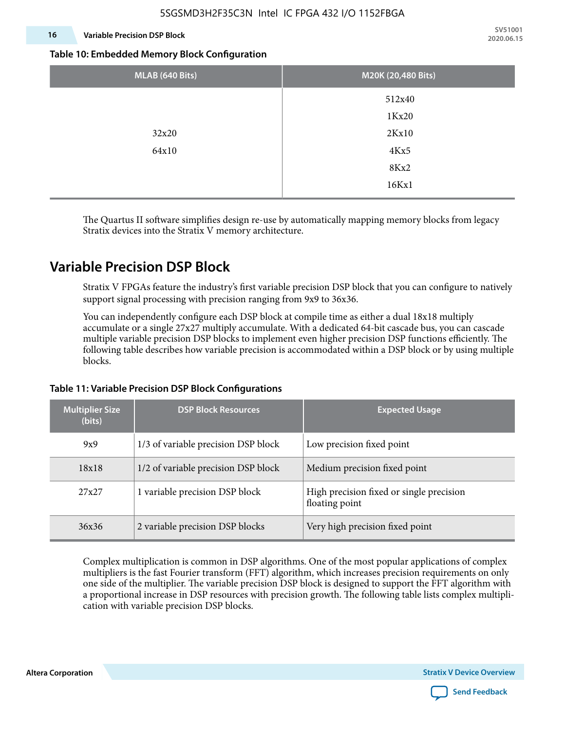### **16 Variable Precision DSP Block**

**SV51001 2020.06.15**

#### **Table 10: Embedded Memory Block Configuration**

| MLAB (640 Bits) | M20K (20,480 Bits) |
|-----------------|--------------------|
|                 | 512x40             |
|                 | 1Kx20              |
| 32x20           | 2Kx10              |
| 64x10           | 4Kx5               |
|                 | 8Kx2               |
|                 | 16Kx1              |

The Quartus II software simplifies design re-use by automatically mapping memory blocks from legacy Stratix devices into the Stratix V memory architecture.

### **Variable Precision DSP Block**

Stratix V FPGAs feature the industry's first variable precision DSP block that you can configure to natively support signal processing with precision ranging from 9x9 to 36x36.

You can independently configure each DSP block at compile time as either a dual 18x18 multiply accumulate or a single 27x27 multiply accumulate. With a dedicated 64-bit cascade bus, you can cascade multiple variable precision DSP blocks to implement even higher precision DSP functions efficiently. The following table describes how variable precision is accommodated within a DSP block or by using multiple blocks.

| <b>Multiplier Size</b><br>(bits) | <b>DSP Block Resources</b>          | <b>Expected Usage</b>                                      |
|----------------------------------|-------------------------------------|------------------------------------------------------------|
| 9x9                              | 1/3 of variable precision DSP block | Low precision fixed point                                  |
| 18x18                            | 1/2 of variable precision DSP block | Medium precision fixed point                               |
| 27x27                            | 1 variable precision DSP block      | High precision fixed or single precision<br>floating point |
| 36x36                            | 2 variable precision DSP blocks     | Very high precision fixed point                            |

#### **Table 11: Variable Precision DSP Block Configurations**

Complex multiplication is common in DSP algorithms. One of the most popular applications of complex multipliers is the fast Fourier transform (FFT) algorithm, which increases precision requirements on only one side of the multiplier. The variable precision DSP block is designed to support the FFT algorithm with a proportional increase in DSP resources with precision growth. The following table lists complex multipli‐ cation with variable precision DSP blocks.

**Altera Corporation** 

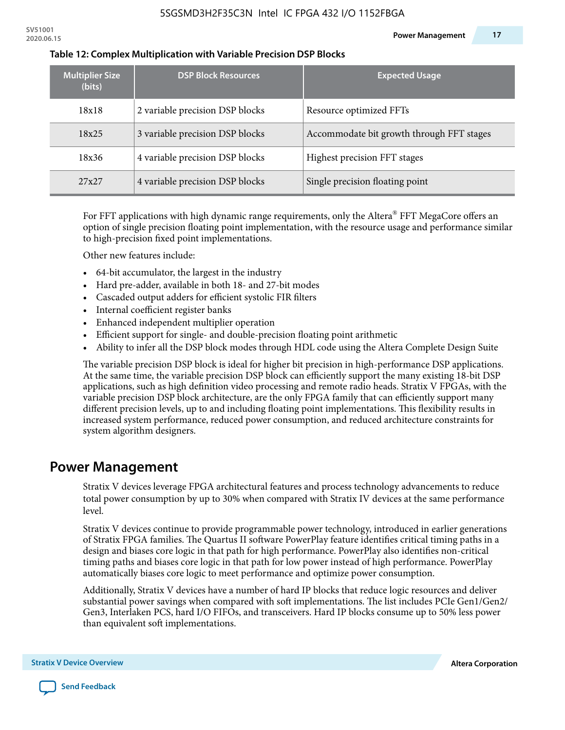| <b>Multiplier Size</b><br>(bits) | <b>DSP Block Resources</b>      | <b>Expected Usage</b>                     |
|----------------------------------|---------------------------------|-------------------------------------------|
| 18x18                            | 2 variable precision DSP blocks | Resource optimized FFTs                   |
| 18x25                            | 3 variable precision DSP blocks | Accommodate bit growth through FFT stages |
| 18x36                            | 4 variable precision DSP blocks | Highest precision FFT stages              |
| 27x27                            | 4 variable precision DSP blocks | Single precision floating point           |

#### **Table 12: Complex Multiplication with Variable Precision DSP Blocks**

For FFT applications with high dynamic range requirements, only the Altera $^\circ$  FFT MegaCore offers an option of single precision floating point implementation, with the resource usage and performance similar to high-precision fixed point implementations.

Other new features include:

- 64-bit accumulator, the largest in the industry
- Hard pre-adder, available in both 18- and 27-bit modes
- Cascaded output adders for efficient systolic FIR filters
- Internal coefficient register banks
- Enhanced independent multiplier operation
- Efficient support for single- and double-precision floating point arithmetic
- Ability to infer all the DSP block modes through HDL code using the Altera Complete Design Suite

The variable precision DSP block is ideal for higher bit precision in high-performance DSP applications. At the same time, the variable precision DSP block can efficiently support the many existing 18-bit DSP applications, such as high definition video processing and remote radio heads. Stratix V FPGAs, with the variable precision DSP block architecture, are the only FPGA family that can efficiently support many different precision levels, up to and including floating point implementations. This flexibility results in increased system performance, reduced power consumption, and reduced architecture constraints for system algorithm designers.

### **Power Management**

Stratix V devices leverage FPGA architectural features and process technology advancements to reduce total power consumption by up to 30% when compared with Stratix IV devices at the same performance level.

Stratix V devices continue to provide programmable power technology, introduced in earlier generations of Stratix FPGA families. The Quartus II software PowerPlay feature identifies critical timing paths in a design and biases core logic in that path for high performance. PowerPlay also identifies non-critical timing paths and biases core logic in that path for low power instead of high performance. PowerPlay automatically biases core logic to meet performance and optimize power consumption.

Additionally, Stratix V devices have a number of hard IP blocks that reduce logic resources and deliver substantial power savings when compared with soft implementations. The list includes PCIe Gen1/Gen2/ Gen3, Interlaken PCS, hard I/O FIFOs, and transceivers. Hard IP blocks consume up to 50% less power than equivalent soft implementations.

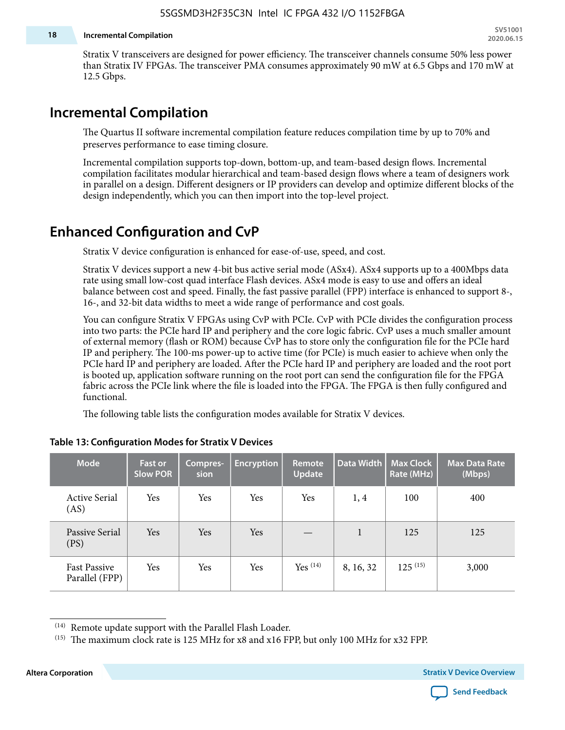#### **18 Incremental Compilation**

Stratix V transceivers are designed for power efficiency. The transceiver channels consume 50% less power than Stratix IV FPGAs. The transceiver PMA consumes approximately 90 mW at 6.5 Gbps and 170 mW at 12.5 Gbps.

## **Incremental Compilation**

The Quartus II software incremental compilation feature reduces compilation time by up to 70% and preserves performance to ease timing closure.

Incremental compilation supports top-down, bottom-up, and team-based design flows. Incremental compilation facilitates modular hierarchical and team-based design flows where a team of designers work in parallel on a design. Different designers or IP providers can develop and optimize different blocks of the design independently, which you can then import into the top-level project.

# **Enhanced Configuration and CvP**

Stratix V device configuration is enhanced for ease-of-use, speed, and cost.

Stratix V devices support a new 4-bit bus active serial mode (ASx4). ASx4 supports up to a 400Mbps data rate using small low-cost quad interface Flash devices. ASx4 mode is easy to use and offers an ideal balance between cost and speed. Finally, the fast passive parallel (FPP) interface is enhanced to support 8-, 16-, and 32-bit data widths to meet a wide range of performance and cost goals.

You can configure Stratix V FPGAs using CvP with PCIe. CvP with PCIe divides the configuration process into two parts: the PCIe hard IP and periphery and the core logic fabric. CvP uses a much smaller amount of external memory (flash or ROM) because CvP has to store only the configuration file for the PCIe hard IP and periphery. The 100-ms power-up to active time (for PCIe) is much easier to achieve when only the PCIe hard IP and periphery are loaded. After the PCIe hard IP and periphery are loaded and the root port is booted up, application software running on the root port can send the configuration file for the FPGA fabric across the PCIe link where the file is loaded into the FPGA. The FPGA is then fully configured and functional.

The following table lists the configuration modes available for Stratix V devices.

| <b>Mode</b>                           | <b>Fast or</b><br><b>Slow POR</b> | Compres-<br>sion | <b>Encryption</b> | Remote<br><b>Update</b> | Data Width | <b>Max Clock</b><br>Rate (MHz) | <b>Max Data Rate</b><br>(Mbps) |
|---------------------------------------|-----------------------------------|------------------|-------------------|-------------------------|------------|--------------------------------|--------------------------------|
| <b>Active Serial</b><br>(AS)          | Yes                               | Yes              | Yes               | Yes                     | 1, 4       | 100                            | 400                            |
| Passive Serial<br>(PS)                | Yes                               | Yes              | Yes               |                         | 1          | 125                            | 125                            |
| <b>Fast Passive</b><br>Parallel (FPP) | Yes                               | Yes              | Yes               | $Yes$ $(14)$            | 8, 16, 32  | $125^{(15)}$                   | 3,000                          |

#### **Table 13: Configuration Modes for Stratix V Devices**

**Altera Corporation Stratix V Device Overview**



<sup>(14)</sup> Remote update support with the Parallel Flash Loader.

<sup>&</sup>lt;sup>(15)</sup> The maximum clock rate is 125 MHz for x8 and x16 FPP, but only 100 MHz for x32 FPP.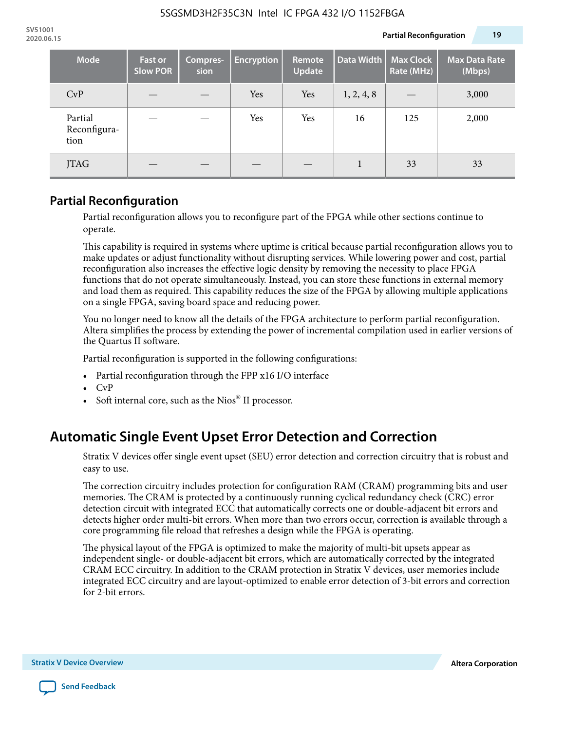| <b>Mode</b>                     | <b>Fast or</b><br><b>Slow POR</b> | Compres-<br>sion | <b>Encryption</b> | <b>Remote</b><br><b>Update</b> | Data Width | <b>Max Clock</b><br>Rate (MHz) | <b>Max Data Rate</b><br>(Mbps) |
|---------------------------------|-----------------------------------|------------------|-------------------|--------------------------------|------------|--------------------------------|--------------------------------|
| CvP                             |                                   |                  | Yes               | Yes                            | 1, 2, 4, 8 |                                | 3,000                          |
| Partial<br>Reconfigura-<br>tion |                                   |                  | Yes               | Yes                            | 16         | 125                            | 2,000                          |
| <b>JTAG</b>                     |                                   |                  |                   |                                |            | 33                             | 33                             |

### **Partial Reconfiguration**

Partial reconfiguration allows you to reconfigure part of the FPGA while other sections continue to operate.

This capability is required in systems where uptime is critical because partial reconfiguration allows you to make updates or adjust functionality without disrupting services. While lowering power and cost, partial reconfiguration also increases the effective logic density by removing the necessity to place FPGA functions that do not operate simultaneously. Instead, you can store these functions in external memory and load them as required. This capability reduces the size of the FPGA by allowing multiple applications on a single FPGA, saving board space and reducing power.

You no longer need to know all the details of the FPGA architecture to perform partial reconfiguration. Altera simplifies the process by extending the power of incremental compilation used in earlier versions of the Quartus II software.

Partial reconfiguration is supported in the following configurations:

- Partial reconfiguration through the FPP x16 I/O interface
- CvP
- Soft internal core, such as the Nios® II processor.

# **Automatic Single Event Upset Error Detection and Correction**

Stratix V devices offer single event upset (SEU) error detection and correction circuitry that is robust and easy to use.

The correction circuitry includes protection for configuration RAM (CRAM) programming bits and user memories. The CRAM is protected by a continuously running cyclical redundancy check (CRC) error detection circuit with integrated ECC that automatically corrects one or double-adjacent bit errors and detects higher order multi-bit errors. When more than two errors occur, correction is available through a core programming file reload that refreshes a design while the FPGA is operating.

The physical layout of the FPGA is optimized to make the majority of multi-bit upsets appear as independent single- or double-adjacent bit errors, which are automatically corrected by the integrated CRAM ECC circuitry. In addition to the CRAM protection in Stratix V devices, user memories include integrated ECC circuitry and are layout-optimized to enable error detection of 3-bit errors and correction for 2-bit errors.

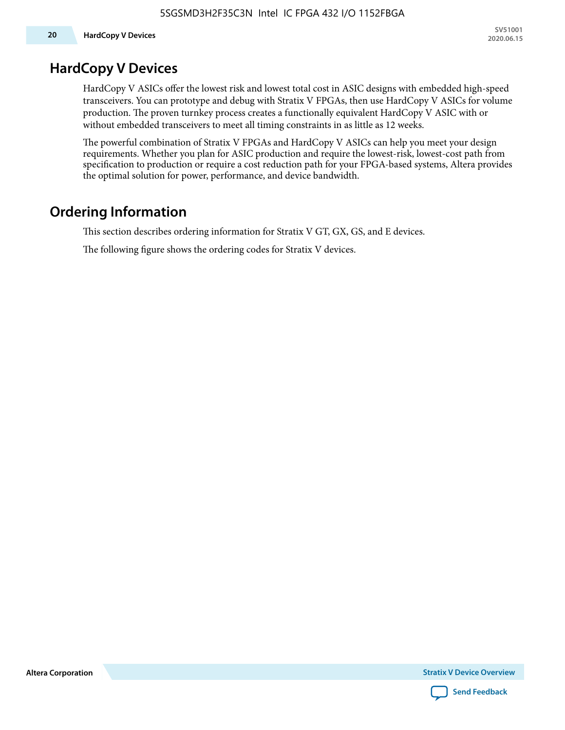### **HardCopy V Devices**

HardCopy V ASICs offer the lowest risk and lowest total cost in ASIC designs with embedded high-speed transceivers. You can prototype and debug with Stratix V FPGAs, then use HardCopy V ASICs for volume production. The proven turnkey process creates a functionally equivalent HardCopy V ASIC with or without embedded transceivers to meet all timing constraints in as little as 12 weeks.

The powerful combination of Stratix V FPGAs and HardCopy V ASICs can help you meet your design requirements. Whether you plan for ASIC production and require the lowest-risk, lowest-cost path from specification to production or require a cost reduction path for your FPGA-based systems, Altera provides the optimal solution for power, performance, and device bandwidth.

### **Ordering Information**

This section describes ordering information for Stratix V GT, GX, GS, and E devices.

The following figure shows the ordering codes for Stratix V devices.

**Altera Corporation** 

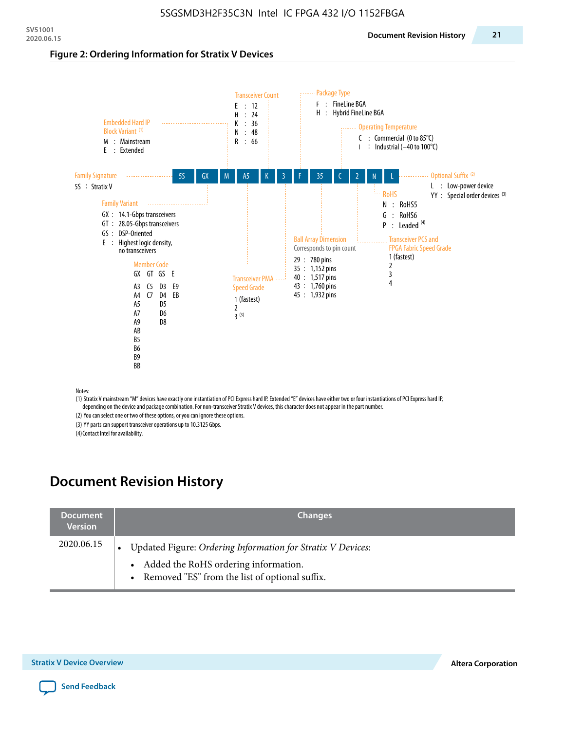#### **Figure 2: Ordering Information for Stratix V Devices**



(1) Stratix V mainstream "M" devices have exactly one instantiation of PCI Express hard IP. Extended "E" devices have either two or four instantiations of PCI Express hard IP, depending on the device and package combination. For non-transceiver Stratix V devices, this character does not appear in the part number.

(2) You can select one or two of these options, or you can ignore these options.

(3) YY parts can support transceiver operations up to 10.3125 Gbps.

(4) Contact Intel for availability.

# **Document Revision History**

| <b>Document</b><br><b>Version</b> | <b>Changes</b>                                                                                                                                            |
|-----------------------------------|-----------------------------------------------------------------------------------------------------------------------------------------------------------|
| 2020.06.15                        | Updated Figure: Ordering Information for Stratix V Devices:<br>• Added the RoHS ordering information.<br>• Removed "ES" from the list of optional suffix. |

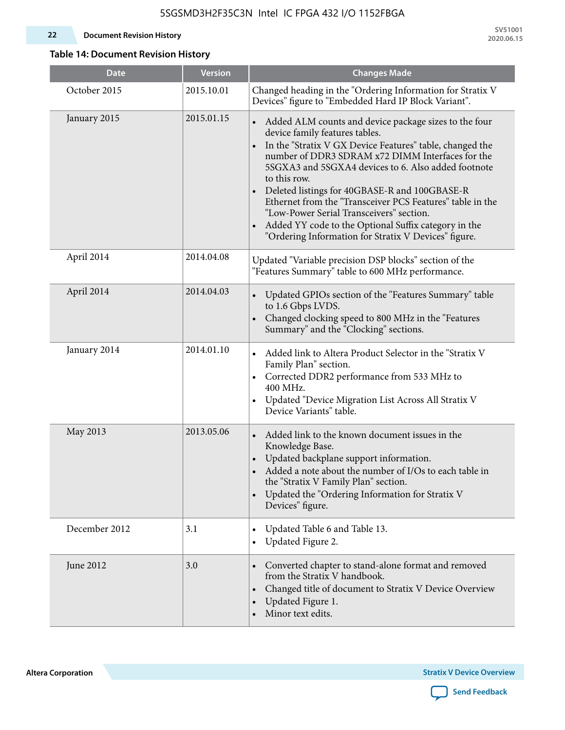#### **22 Document Revision History**

**SV51001 2020.06.15**

### **Table 14: Document Revision History**

| <b>Date</b>   | <b>Version</b> | <b>Changes Made</b>                                                                                                                                                                                                                                                                                                                                                                                                                                                                                                                                                                |
|---------------|----------------|------------------------------------------------------------------------------------------------------------------------------------------------------------------------------------------------------------------------------------------------------------------------------------------------------------------------------------------------------------------------------------------------------------------------------------------------------------------------------------------------------------------------------------------------------------------------------------|
| October 2015  | 2015.10.01     | Changed heading in the "Ordering Information for Stratix V<br>Devices" figure to "Embedded Hard IP Block Variant".                                                                                                                                                                                                                                                                                                                                                                                                                                                                 |
| January 2015  | 2015.01.15     | Added ALM counts and device package sizes to the four<br>device family features tables.<br>In the "Stratix V GX Device Features" table, changed the<br>$\bullet$<br>number of DDR3 SDRAM x72 DIMM Interfaces for the<br>5SGXA3 and 5SGXA4 devices to 6. Also added footnote<br>to this row.<br>Deleted listings for 40GBASE-R and 100GBASE-R<br>Ethernet from the "Transceiver PCS Features" table in the<br>"Low-Power Serial Transceivers" section.<br>Added YY code to the Optional Suffix category in the<br>$\bullet$<br>"Ordering Information for Stratix V Devices" figure. |
| April 2014    | 2014.04.08     | Updated "Variable precision DSP blocks" section of the<br>"Features Summary" table to 600 MHz performance.                                                                                                                                                                                                                                                                                                                                                                                                                                                                         |
| April 2014    | 2014.04.03     | Updated GPIOs section of the "Features Summary" table<br>to 1.6 Gbps LVDS.<br>Changed clocking speed to 800 MHz in the "Features<br>Summary" and the "Clocking" sections.                                                                                                                                                                                                                                                                                                                                                                                                          |
| January 2014  | 2014.01.10     | Added link to Altera Product Selector in the "Stratix V<br>Family Plan" section.<br>• Corrected DDR2 performance from 533 MHz to<br>400 MHz.<br>Updated "Device Migration List Across All Stratix V<br>Device Variants" table.                                                                                                                                                                                                                                                                                                                                                     |
| May 2013      | 2013.05.06     | Added link to the known document issues in the<br>Knowledge Base.<br>Updated backplane support information.<br>$\bullet$<br>Added a note about the number of I/Os to each table in<br>the "Stratix V Family Plan" section.<br>Updated the "Ordering Information for Stratix V<br>$\bullet$<br>Devices" figure.                                                                                                                                                                                                                                                                     |
| December 2012 | 3.1            | Updated Table 6 and Table 13.<br>$\bullet$<br>Updated Figure 2.<br>$\bullet$                                                                                                                                                                                                                                                                                                                                                                                                                                                                                                       |
| June 2012     | 3.0            | Converted chapter to stand-alone format and removed<br>$\bullet$<br>from the Stratix V handbook.<br>Changed title of document to Stratix V Device Overview<br>$\bullet$<br>Updated Figure 1.<br>$\bullet$<br>Minor text edits.                                                                                                                                                                                                                                                                                                                                                     |

**Altera Corporation** 

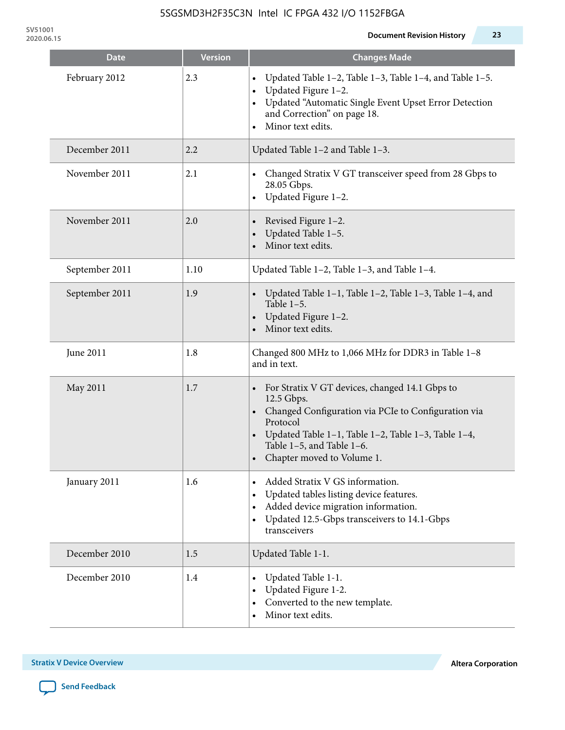| Date           | <b>Version</b> | <b>Changes Made</b>                                                                                                                                                                                                                                                                      |
|----------------|----------------|------------------------------------------------------------------------------------------------------------------------------------------------------------------------------------------------------------------------------------------------------------------------------------------|
| February 2012  | 2.3            | Updated Table 1-2, Table 1-3, Table 1-4, and Table 1-5.<br>$\bullet$<br>Updated Figure 1-2.<br>$\bullet$<br>Updated "Automatic Single Event Upset Error Detection<br>and Correction" on page 18.<br>Minor text edits.<br>$\bullet$                                                       |
| December 2011  | 2.2            | Updated Table 1-2 and Table 1-3.                                                                                                                                                                                                                                                         |
| November 2011  | 2.1            | Changed Stratix V GT transceiver speed from 28 Gbps to<br>28.05 Gbps.<br>Updated Figure 1-2.<br>$\bullet$                                                                                                                                                                                |
| November 2011  | 2.0            | Revised Figure 1-2.<br>$\bullet$<br>Updated Table 1-5.<br>Minor text edits.                                                                                                                                                                                                              |
| September 2011 | 1.10           | Updated Table 1-2, Table 1-3, and Table 1-4.                                                                                                                                                                                                                                             |
| September 2011 | 1.9            | Updated Table $1-1$ , Table $1-2$ , Table $1-3$ , Table $1-4$ , and<br>Table $1-5$ .<br>Updated Figure 1-2.<br>$\bullet$<br>Minor text edits.                                                                                                                                            |
| June 2011      | 1.8            | Changed 800 MHz to 1,066 MHz for DDR3 in Table 1-8<br>and in text.                                                                                                                                                                                                                       |
| May 2011       | 1.7            | For Stratix V GT devices, changed 14.1 Gbps to<br>$\bullet$<br>12.5 Gbps.<br>Changed Configuration via PCIe to Configuration via<br>$\bullet$<br>Protocol<br>Updated Table 1-1, Table 1-2, Table 1-3, Table 1-4,<br>$\bullet$<br>Table 1-5, and Table 1-6.<br>Chapter moved to Volume 1. |
| January 2011   | 1.6            | Added Stratix V GS information.<br>Updated tables listing device features.<br>$\bullet$<br>Added device migration information.<br>$\bullet$<br>Updated 12.5-Gbps transceivers to 14.1-Gbps<br>$\bullet$<br>transceivers                                                                  |
| December 2010  | 1.5            | Updated Table 1-1.                                                                                                                                                                                                                                                                       |
| December 2010  | 1.4            | Updated Table 1-1.<br>٠<br>Updated Figure 1-2.<br>Converted to the new template.<br>Minor text edits.                                                                                                                                                                                    |

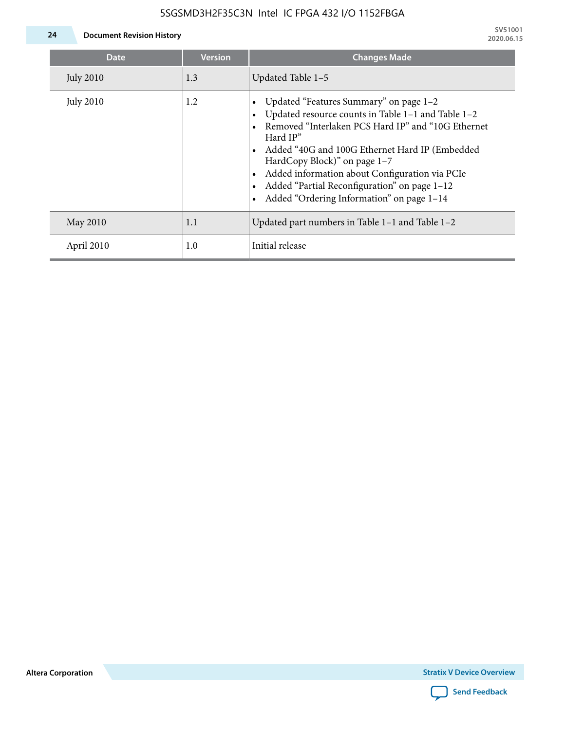

**24 Document Revision History**

| Date             | <b>Version</b> | <b>Changes Made</b>                                                                                                                                                                                                                                                                                                                                                                             |
|------------------|----------------|-------------------------------------------------------------------------------------------------------------------------------------------------------------------------------------------------------------------------------------------------------------------------------------------------------------------------------------------------------------------------------------------------|
| <b>July 2010</b> | 1.3            | Updated Table 1-5                                                                                                                                                                                                                                                                                                                                                                               |
| <b>July 2010</b> | 1.2            | Updated "Features Summary" on page 1-2<br>Updated resource counts in Table 1-1 and Table 1-2<br>Removed "Interlaken PCS Hard IP" and "10G Ethernet<br>Hard IP"<br>Added "40G and 100G Ethernet Hard IP (Embedded<br>HardCopy Block)" on page 1-7<br>Added information about Configuration via PCIe<br>Added "Partial Reconfiguration" on page 1-12<br>Added "Ordering Information" on page 1-14 |
| May 2010         | 1.1            | Updated part numbers in Table $1-1$ and Table $1-2$                                                                                                                                                                                                                                                                                                                                             |
| April 2010       | 1.0            | Initial release                                                                                                                                                                                                                                                                                                                                                                                 |

**Altera Corporation**